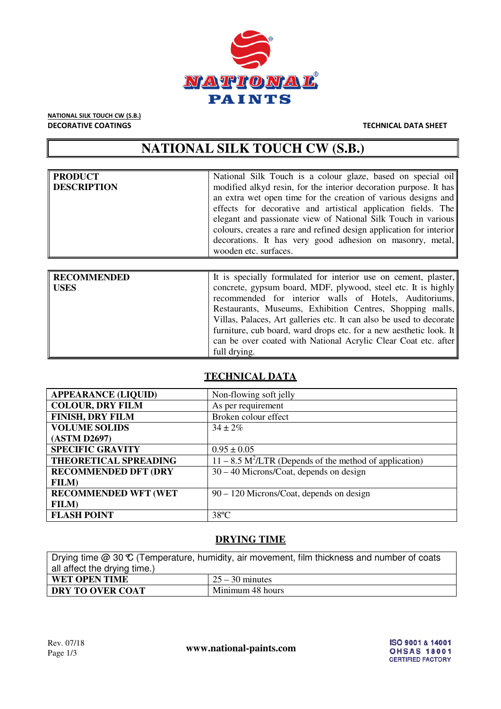

NATIONAL SILK TOUCH CW (S.B.) DECORATIVE COATINGS TECHNICAL DATA SHEET

# **NATIONAL SILK TOUCH CW (S.B.)**

| <b>PRODUCT</b><br>DESCRIPTION | National Silk Touch is a colour glaze, based on special oil<br>modified alkyd resin, for the interior decoration purpose. It has<br>an extra wet open time for the creation of various designs and<br>effects for decorative and artistical application fields. The<br>elegant and passionate view of National Silk Touch in various<br>colours, creates a rare and refined design application for interior |
|-------------------------------|-------------------------------------------------------------------------------------------------------------------------------------------------------------------------------------------------------------------------------------------------------------------------------------------------------------------------------------------------------------------------------------------------------------|
|                               | decorations. It has very good adhesion on masonry, metal,<br>wooden etc. surfaces.                                                                                                                                                                                                                                                                                                                          |

| RECOMMENDED | It is specially formulated for interior use on cement, plaster,     |
|-------------|---------------------------------------------------------------------|
| USES        | concrete, gypsum board, MDF, plywood, steel etc. It is highly       |
|             | recommended for interior walls of Hotels, Auditoriums,              |
|             | Restaurants, Museums, Exhibition Centres, Shopping malls,           |
|             | Villas, Palaces, Art galleries etc. It can also be used to decorate |
|             | furniture, cub board, ward drops etc. for a new aesthetic look. It  |
|             | can be over coated with National Acrylic Clear Coat etc. after      |
|             | full drying.                                                        |

# **TECHNICAL DATA**

| <b>APPEARANCE (LIQUID)</b>  | Non-flowing soft jelly                                                |  |
|-----------------------------|-----------------------------------------------------------------------|--|
| <b>COLOUR, DRY FILM</b>     | As per requirement                                                    |  |
| <b>FINISH, DRY FILM</b>     | Broken colour effect                                                  |  |
| <b>VOLUME SOLIDS</b>        | $34 + 2\%$                                                            |  |
| (ASTM D2697)                |                                                                       |  |
| <b>SPECIFIC GRAVITY</b>     | $0.95 \pm 0.05$                                                       |  |
| THEORETICAL SPREADING       | $11 - 8.5$ M <sup>2</sup> /LTR (Depends of the method of application) |  |
| <b>RECOMMENDED DFT (DRY</b> | $30 - 40$ Microns/Coat, depends on design                             |  |
| <b>FILM</b> )               |                                                                       |  |
| <b>RECOMMENDED WFT (WET</b> | 90 – 120 Microns/Coat, depends on design                              |  |
| FILM)                       |                                                                       |  |
| <b>FLASH POINT</b>          | $38^{\circ}$ C                                                        |  |

# **DRYING TIME**

| Drying time $@30 \mathfrak{C}$ (Temperature, humidity, air movement, film thickness and number of coats<br>all affect the drying time.) |                            |  |
|-----------------------------------------------------------------------------------------------------------------------------------------|----------------------------|--|
| WET OPEN TIME                                                                                                                           | $\frac{25-30}{25}$ minutes |  |
| Minimum 48 hours<br><b>DRY TO OVER COAT</b>                                                                                             |                            |  |

www.national-paints.com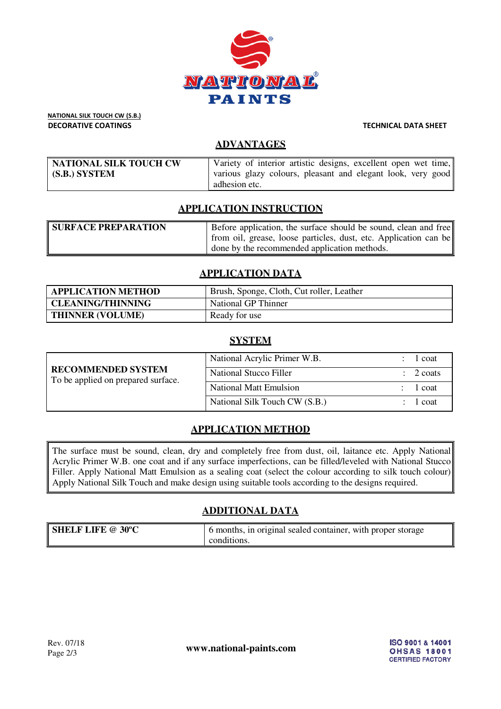

NATIONAL SILK TOUCH CW (S.B.) DECORATIVE COATINGS TECHNICAL DATA SHEET

## **ADVANTAGES**

| NATIONAL SILK TOUCH CW | Variety of interior artistic designs, excellent open wet time, |
|------------------------|----------------------------------------------------------------|
| (S.B.) SYSTEM          | various glazy colours, pleasant and elegant look, very good    |
|                        | adhesion etc.                                                  |

# **APPLICATION INSTRUCTION**

| <b>SURFACE PREPARATION</b> | Before application, the surface should be sound, clean and free  |
|----------------------------|------------------------------------------------------------------|
|                            | from oil, grease, loose particles, dust, etc. Application can be |
|                            | I done by the recommended application methods.                   |

### **APPLICATION DATA**

| <b>APPLICATION METHOD</b> | Brush, Sponge, Cloth, Cut roller, Leather |
|---------------------------|-------------------------------------------|
| <b>CLEANING/THINNING</b>  | National GP Thinner                       |
| <b>THINNER (VOLUME)</b>   | Ready for use                             |

### **SYSTEM**

| <b>RECOMMENDED SYSTEM</b><br>To be applied on prepared surface. | National Acrylic Primer W.B.  | 1 coat               |
|-----------------------------------------------------------------|-------------------------------|----------------------|
|                                                                 | <b>National Stucco Filler</b> | $\therefore$ 2 coats |
|                                                                 | <b>National Matt Emulsion</b> | 1 coat               |
|                                                                 | National Silk Touch CW (S.B.) | 1 coat               |

# **APPLICATION METHOD**

The surface must be sound, clean, dry and completely free from dust, oil, laitance etc. Apply National Acrylic Primer W.B. one coat and if any surface imperfections, can be filled/leveled with National Stucco Filler. Apply National Matt Emulsion as a sealing coat (select the colour according to silk touch colour) Apply National Silk Touch and make design using suitable tools according to the designs required.

# **ADDITIONAL DATA**

| <b>SHELF LIFE @ 30°C</b> | 6 months, in original sealed container, with proper storage |
|--------------------------|-------------------------------------------------------------|
|                          | conditions.                                                 |